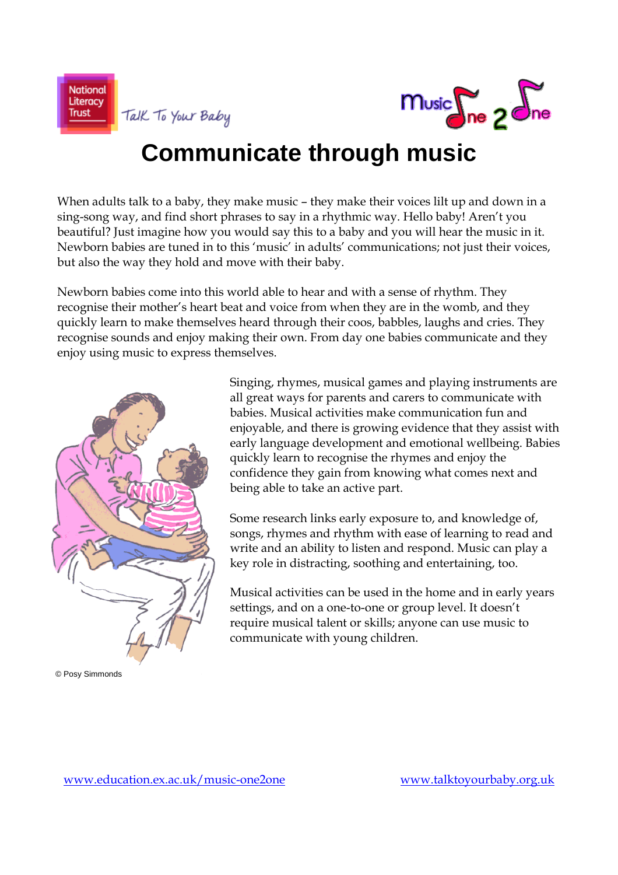



### **Communicate through music**

When adults talk to a baby, they make music – they make their voices lilt up and down in a sing-song way, and find short phrases to say in a rhythmic way. Hello baby! Aren't you beautiful? Just imagine how you would say this to a baby and you will hear the music in it. Newborn babies are tuned in to this 'music' in adults' communications; not just their voices, but also the way they hold and move with their baby.

Newborn babies come into this world able to hear and with a sense of rhythm. They recognise their mother's heart beat and voice from when they are in the womb, and they quickly learn to make themselves heard through their coos, babbles, laughs and cries. They recognise sounds and enjoy making their own. From day one babies communicate and they enjoy using music to express themselves.



© Posy Simmonds

Singing, rhymes, musical games and playing instruments are all great ways for parents and carers to communicate with babies. Musical activities make communication fun and enjoyable, and there is growing evidence that they assist with early language development and emotional wellbeing. Babies quickly learn to recognise the rhymes and enjoy the confidence they gain from knowing what comes next and being able to take an active part.

Some research links early exposure to, and knowledge of, songs, rhymes and rhythm with ease of learning to read and write and an ability to listen and respond. Music can play a key role in distracting, soothing and entertaining, too.

Musical activities can be used in the home and in early years settings, and on a one-to-one or group level. It doesn't require musical talent or skills; anyone can use music to communicate with young children.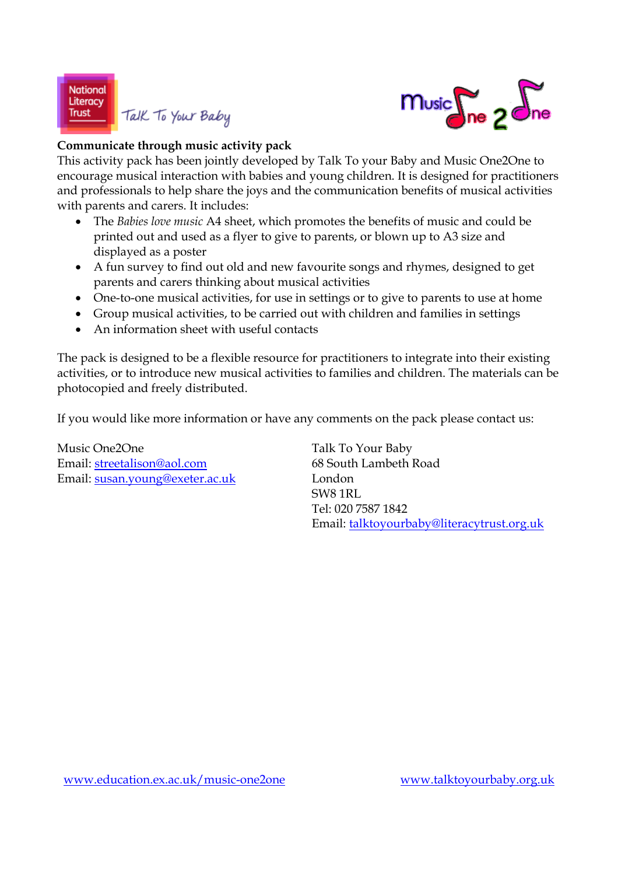

### Talk To Your Baby



### **Communicate through music activity pack**

This activity pack has been jointly developed by Talk To your Baby and Music One2One to encourage musical interaction with babies and young children. It is designed for practitioners and professionals to help share the joys and the communication benefits of musical activities with parents and carers. It includes:

- The *Babies love music* A4 sheet, which promotes the benefits of music and could be printed out and used as a flyer to give to parents, or blown up to A3 size and displayed as a poster
- A fun survey to find out old and new favourite songs and rhymes, designed to get parents and carers thinking about musical activities
- One-to-one musical activities, for use in settings or to give to parents to use at home
- Group musical activities, to be carried out with children and families in settings
- An information sheet with useful contacts

The pack is designed to be a flexible resource for practitioners to integrate into their existing activities, or to introduce new musical activities to families and children. The materials can be photocopied and freely distributed.

If you would like more information or have any comments on the pack please contact us:

Music One2One Talk To Your Baby Email: streetalison@aol.com 68 South Lambeth Road Email: susan.young@exeter.ac.uk London

 SW8 1RL Tel: 020 7587 1842 Email: talktoyourbaby@literacytrust.org.uk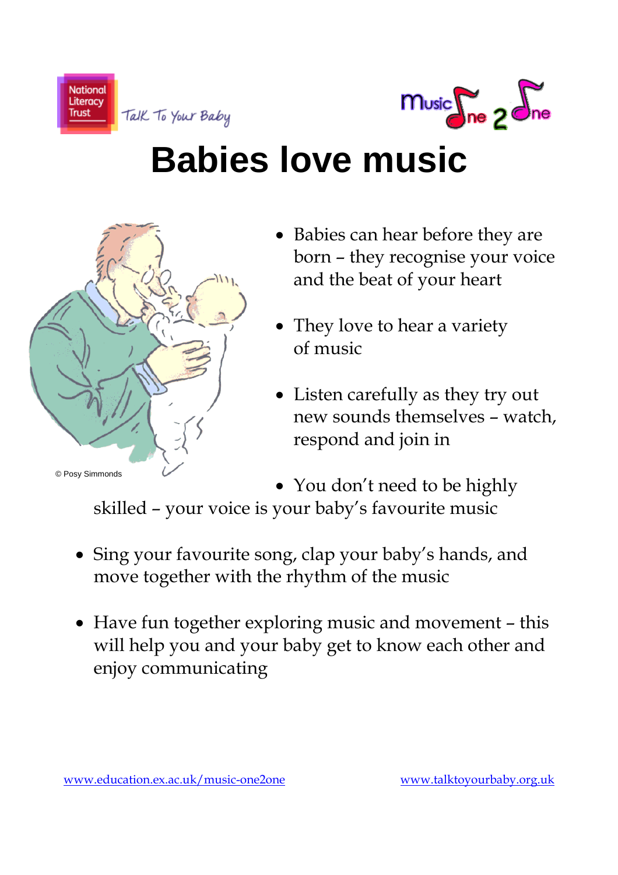



# **Babies love music**



- Babies can hear before they are born – they recognise your voice and the beat of your heart
- They love to hear a variety of music
- Listen carefully as they try out new sounds themselves – watch, respond and join in

• You don't need to be highly skilled – your voice is your baby's favourite music

- Sing your favourite song, clap your baby's hands, and move together with the rhythm of the music
- Have fun together exploring music and movement this will help you and your baby get to know each other and enjoy communicating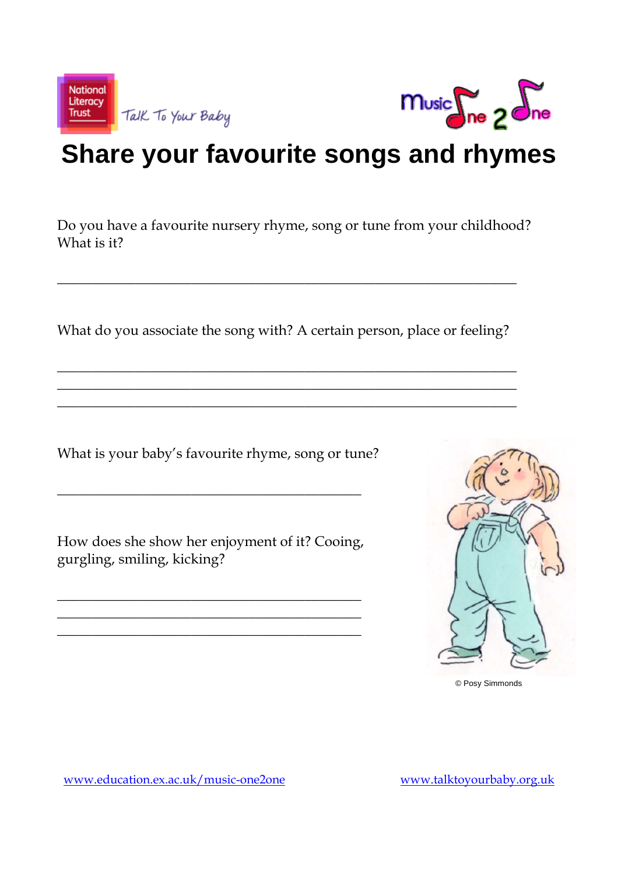



## **Share your favourite songs and rhymes**

Do you have a favourite nursery rhyme, song or tune from your childhood? What is it?

What do you associate the song with? A certain person, place or feeling?

\_\_\_\_\_\_\_\_\_\_\_\_\_\_\_\_\_\_\_\_\_\_\_\_\_\_\_\_\_\_\_\_\_\_\_\_\_\_\_\_\_\_\_\_\_\_\_\_\_\_\_\_\_\_\_\_\_\_\_\_\_\_\_\_\_ \_\_\_\_\_\_\_\_\_\_\_\_\_\_\_\_\_\_\_\_\_\_\_\_\_\_\_\_\_\_\_\_\_\_\_\_\_\_\_\_\_\_\_\_\_\_\_\_\_\_\_\_\_\_\_\_\_\_\_\_\_\_\_\_\_ \_\_\_\_\_\_\_\_\_\_\_\_\_\_\_\_\_\_\_\_\_\_\_\_\_\_\_\_\_\_\_\_\_\_\_\_\_\_\_\_\_\_\_\_\_\_\_\_\_\_\_\_\_\_\_\_\_\_\_\_\_\_\_\_\_

\_\_\_\_\_\_\_\_\_\_\_\_\_\_\_\_\_\_\_\_\_\_\_\_\_\_\_\_\_\_\_\_\_\_\_\_\_\_\_\_\_\_\_\_\_\_\_\_\_\_\_\_\_\_\_\_\_\_\_\_\_\_\_\_\_

What is your baby's favourite rhyme, song or tune?

How does she show her enjoyment of it? Cooing, gurgling, smiling, kicking?

\_\_\_\_\_\_\_\_\_\_\_\_\_\_\_\_\_\_\_\_\_\_\_\_\_\_\_\_\_\_\_\_\_\_\_\_\_\_\_\_\_\_\_ \_\_\_\_\_\_\_\_\_\_\_\_\_\_\_\_\_\_\_\_\_\_\_\_\_\_\_\_\_\_\_\_\_\_\_\_\_\_\_\_\_\_\_ \_\_\_\_\_\_\_\_\_\_\_\_\_\_\_\_\_\_\_\_\_\_\_\_\_\_\_\_\_\_\_\_\_\_\_\_\_\_\_\_\_\_\_

\_\_\_\_\_\_\_\_\_\_\_\_\_\_\_\_\_\_\_\_\_\_\_\_\_\_\_\_\_\_\_\_\_\_\_\_\_\_\_\_\_\_\_



© Posy Simmonds

www.education.ex.ac.uk/music-one2one www.talktoyourbaby.org.uk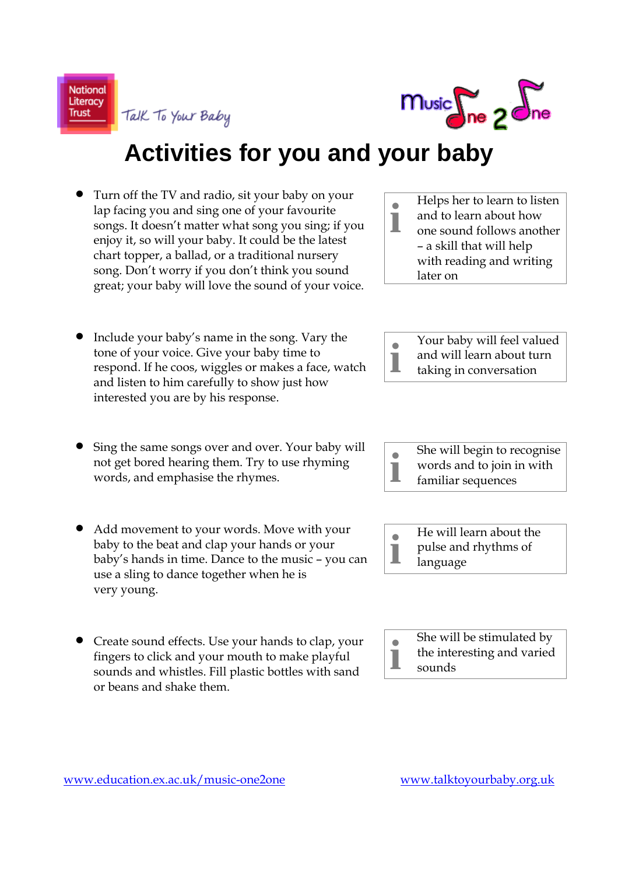**National** Literacy **Trust** 

music ne 2 one

**Activities for you and your baby**

• Turn off the TV and radio, sit your baby on your lap facing you and sing one of your favourite songs. It doesn't matter what song you sing; if you enjoy it, so will your baby. It could be the latest chart topper, a ballad, or a traditional nursery song. Don't worry if you don't think you sound great; your baby will love the sound of your voice.

Talk To Your Baby

- Include your baby's name in the song. Vary the tone of your voice. Give your baby time to respond. If he coos, wiggles or makes a face, watch and listen to him carefully to show just how interested you are by his response.
- Sing the same songs over and over. Your baby will not get bored hearing them. Try to use rhyming words, and emphasise the rhymes.
- Add movement to your words. Move with your baby to the beat and clap your hands or your baby's hands in time. Dance to the music – you can use a sling to dance together when he is very young.
- Create sound effects. Use your hands to clap, your fingers to click and your mouth to make playful sounds and whistles. Fill plastic bottles with sand or beans and shake them.

**i** Helps her to learn to listen and to learn about how one sound follows another – a skill that will help with reading and writing later on







- **i** She will be stimulated by
	- the interesting and varied
- sounds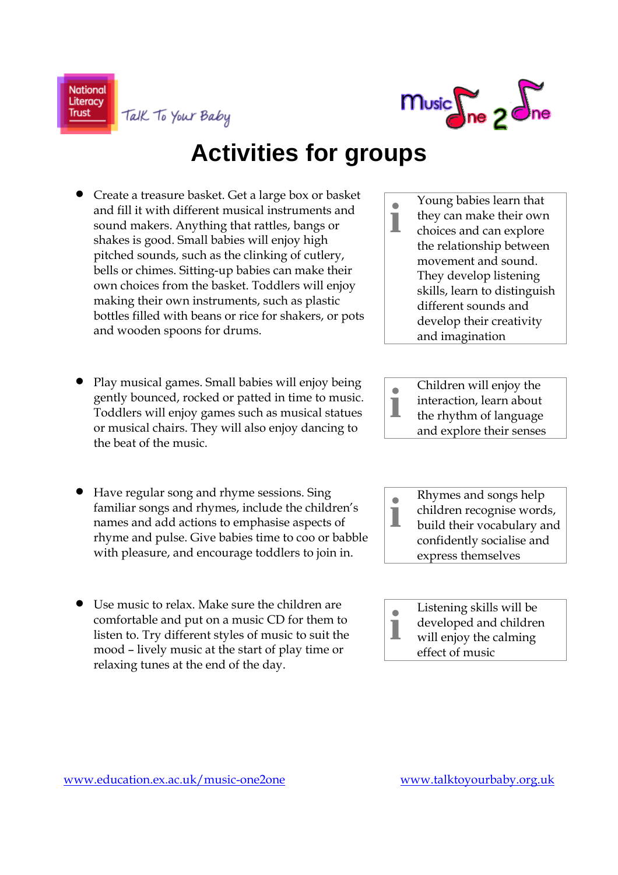

**Activities for groups**

• Create a treasure basket. Get a large box or basket and fill it with different musical instruments and sound makers. Anything that rattles, bangs or shakes is good. Small babies will enjoy high pitched sounds, such as the clinking of cutlery, bells or chimes. Sitting-up babies can make their own choices from the basket. Toddlers will enjoy making their own instruments, such as plastic bottles filled with beans or rice for shakers, or pots and wooden spoons for drums.

Talk To Your Baby

**National** Literacy

**Trust** 

- Play musical games. Small babies will enjoy being gently bounced, rocked or patted in time to music. Toddlers will enjoy games such as musical statues or musical chairs. They will also enjoy dancing to the beat of the music.
- Have regular song and rhyme sessions. Sing familiar songs and rhymes, include the children's names and add actions to emphasise aspects of rhyme and pulse. Give babies time to coo or babble with pleasure, and encourage toddlers to join in.
- Use music to relax. Make sure the children are comfortable and put on a music CD for them to listen to. Try different styles of music to suit the mood – lively music at the start of play time or relaxing tunes at the end of the day.
- **i** Young babies learn that they can make their own choices and can explore the relationship between movement and sound. They develop listening skills, learn to distinguish different sounds and develop their creativity and imagination
- **i** Children will enjoy the interaction, learn about the rhythm of language and explore their senses
- **i** Rhymes and songs help children recognise words, build their vocabulary and confidently socialise and express themselves
- **i** Listening skills will be developed and children will enjoy the calming effect of music